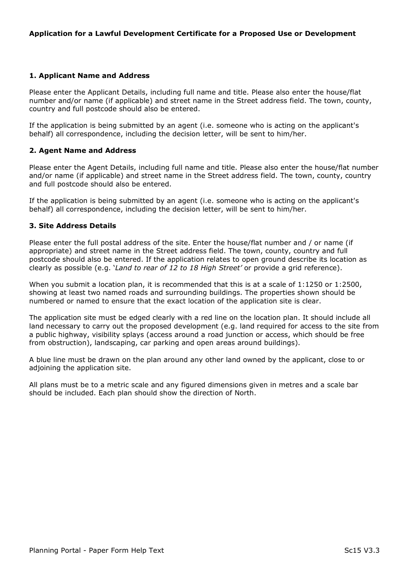## 1. Applicant Name and Address

Please enter the Applicant Details, including full name and title. Please also enter the house/flat number and/or name (if applicable) and street name in the Street address field. The town, county, country and full postcode should also be entered.

If the application is being submitted by an agent (i.e. someone who is acting on the applicant's behalf) all correspondence, including the decision letter, will be sent to him/her.

## 2. Agent Name and Address

Please enter the Agent Details, including full name and title. Please also enter the house/flat number and/or name (if applicable) and street name in the Street address field. The town, county, country and full postcode should also be entered.

If the application is being submitted by an agent (i.e. someone who is acting on the applicant's behalf) all correspondence, including the decision letter, will be sent to him/her.

### 3. Site Address Details

Please enter the full postal address of the site. Enter the house/flat number and / or name (if appropriate) and street name in the Street address field. The town, county, country and full postcode should also be entered. If the application relates to open ground describe its location as clearly as possible (e.g. 'Land to rear of 12 to 18 High Street' or provide a grid reference).

When you submit a location plan, it is recommended that this is at a scale of 1:1250 or 1:2500, showing at least two named roads and surrounding buildings. The properties shown should be numbered or named to ensure that the exact location of the application site is clear.

The application site must be edged clearly with a red line on the location plan. It should include all land necessary to carry out the proposed development (e.g. land required for access to the site from a public highway, visibility splays (access around a road junction or access, which should be free from obstruction), landscaping, car parking and open areas around buildings).

A blue line must be drawn on the plan around any other land owned by the applicant, close to or adjoining the application site.

All plans must be to a metric scale and any figured dimensions given in metres and a scale bar should be included. Each plan should show the direction of North.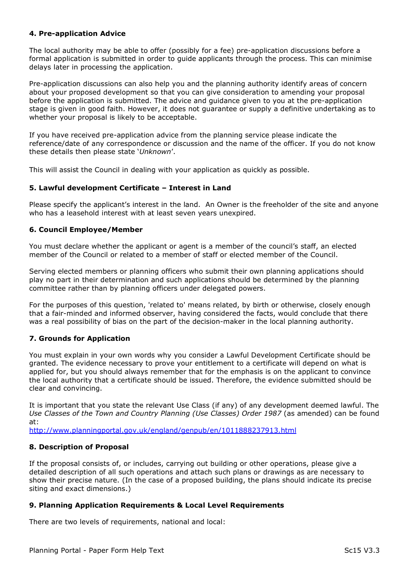# 4. Pre-application Advice

The local authority may be able to offer (possibly for a fee) pre-application discussions before a formal application is submitted in order to guide applicants through the process. This can minimise delays later in processing the application.

Pre-application discussions can also help you and the planning authority identify areas of concern about your proposed development so that you can give consideration to amending your proposal before the application is submitted. The advice and guidance given to you at the pre-application stage is given in good faith. However, it does not guarantee or supply a definitive undertaking as to whether your proposal is likely to be acceptable.

If you have received pre-application advice from the planning service please indicate the reference/date of any correspondence or discussion and the name of the officer. If you do not know these details then please state 'Unknown'.

This will assist the Council in dealing with your application as quickly as possible.

### 5. Lawful development Certificate – Interest in Land

Please specify the applicant's interest in the land. An Owner is the freeholder of the site and anyone who has a leasehold interest with at least seven years unexpired.

## 6. Council Employee/Member

You must declare whether the applicant or agent is a member of the council's staff, an elected member of the Council or related to a member of staff or elected member of the Council.

Serving elected members or planning officers who submit their own planning applications should play no part in their determination and such applications should be determined by the planning committee rather than by planning officers under delegated powers.

For the purposes of this question, 'related to' means related, by birth or otherwise, closely enough that a fair-minded and informed observer, having considered the facts, would conclude that there was a real possibility of bias on the part of the decision-maker in the local planning authority.

# 7. Grounds for Application

You must explain in your own words why you consider a Lawful Development Certificate should be granted. The evidence necessary to prove your entitlement to a certificate will depend on what is applied for, but you should always remember that for the emphasis is on the applicant to convince the local authority that a certificate should be issued. Therefore, the evidence submitted should be clear and convincing.

It is important that you state the relevant Use Class (if any) of any development deemed lawful. The Use Classes of the Town and Country Planning (Use Classes) Order 1987 (as amended) can be found at:

http://www.planningportal.gov.uk/england/genpub/en/1011888237913.html

### 8. Description of Proposal

If the proposal consists of, or includes, carrying out building or other operations, please give a detailed description of all such operations and attach such plans or drawings as are necessary to show their precise nature. (In the case of a proposed building, the plans should indicate its precise siting and exact dimensions.)

### 9. Planning Application Requirements & Local Level Requirements

There are two levels of requirements, national and local: